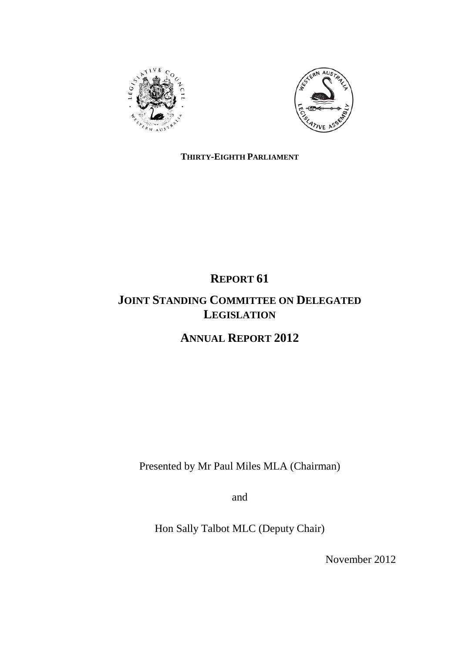



# **THIRTY-EIGHTH PARLIAMENT**

# **REPORT 61 JOINT STANDING COMMITTEE ON DELEGATED LEGISLATION**

**ANNUAL REPORT 2012**

Presented by Mr Paul Miles MLA (Chairman)

and

Hon Sally Talbot MLC (Deputy Chair)

November 2012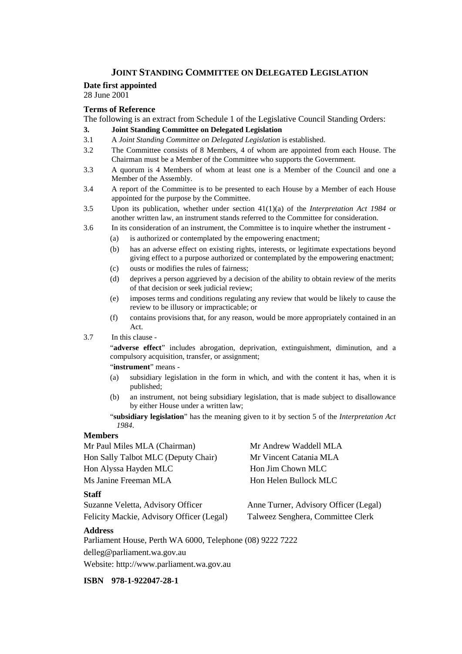## **JOINT STANDING COMMITTEE ON DELEGATED LEGISLATION**

#### **Date first appointed**

28 June 2001

# **Terms of Reference**

The following is an extract from Schedule 1 of the Legislative Council Standing Orders:

#### **3. Joint Standing Committee on Delegated Legislation**

- 3.1 A *Joint Standing Committee on Delegated Legislation* is established.
- 3.2 The Committee consists of 8 Members, 4 of whom are appointed from each House. The Chairman must be a Member of the Committee who supports the Government.
- 3.3 A quorum is 4 Members of whom at least one is a Member of the Council and one a Member of the Assembly.
- 3.4 A report of the Committee is to be presented to each House by a Member of each House appointed for the purpose by the Committee.
- 3.5 Upon its publication, whether under section 41(1)(a) of the *Interpretation Act 1984* or another written law, an instrument stands referred to the Committee for consideration.
- 3.6 In its consideration of an instrument, the Committee is to inquire whether the instrument
	- (a) is authorized or contemplated by the empowering enactment;
	- (b) has an adverse effect on existing rights, interests, or legitimate expectations beyond giving effect to a purpose authorized or contemplated by the empowering enactment;
	- (c) ousts or modifies the rules of fairness;
	- (d) deprives a person aggrieved by a decision of the ability to obtain review of the merits of that decision or seek judicial review;
	- (e) imposes terms and conditions regulating any review that would be likely to cause the review to be illusory or impracticable; or
	- (f) contains provisions that, for any reason, would be more appropriately contained in an Act.
- 3.7 In this clause -

"**adverse effect**" includes abrogation, deprivation, extinguishment, diminution, and a compulsory acquisition, transfer, or assignment;

"**instrument**" means -

- (a) subsidiary legislation in the form in which, and with the content it has, when it is published;
- (b) an instrument, not being subsidiary legislation, that is made subject to disallowance by either House under a written law;

"**subsidiary legislation**" has the meaning given to it by section 5 of the *Interpretation Act 1984*.

#### **Members**

Mr Paul Miles MLA (Chairman) Mr Andrew Waddell MLA Hon Sally Talbot MLC (Deputy Chair) Mr Vincent Catania MLA Hon Alyssa Hayden MLC Hon Jim Chown MLC Ms Janine Freeman MLA Hon Helen Bullock MLC

#### **Staff**

Suzanne Veletta, Advisory Officer Anne Turner, Advisory Officer (Legal)

Felicity Mackie, Advisory Officer (Legal) Talweez Senghera, Committee Clerk

#### **Address**

Parliament House, Perth WA 6000, Telephone (08) 9222 7222 delleg@parliament.wa.gov.au Website: http://www.parliament.wa.gov.au

**ISBN 978-1-922047-28-1**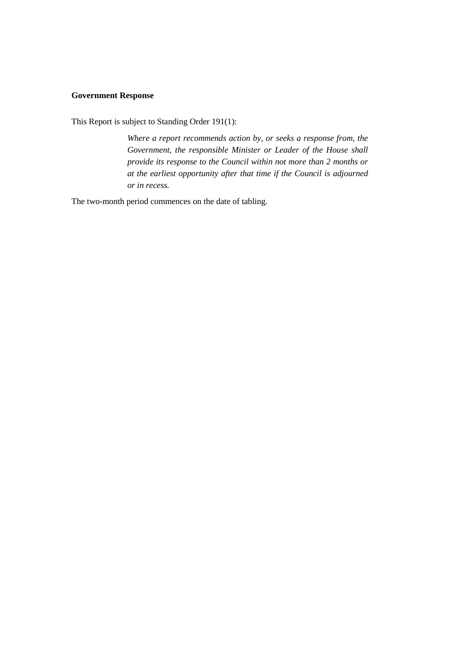### **Government Response**

This Report is subject to Standing Order 191(1):

*Where a report recommends action by, or seeks a response from, the Government, the responsible Minister or Leader of the House shall provide its response to the Council within not more than 2 months or at the earliest opportunity after that time if the Council is adjourned or in recess.*

The two-month period commences on the date of tabling.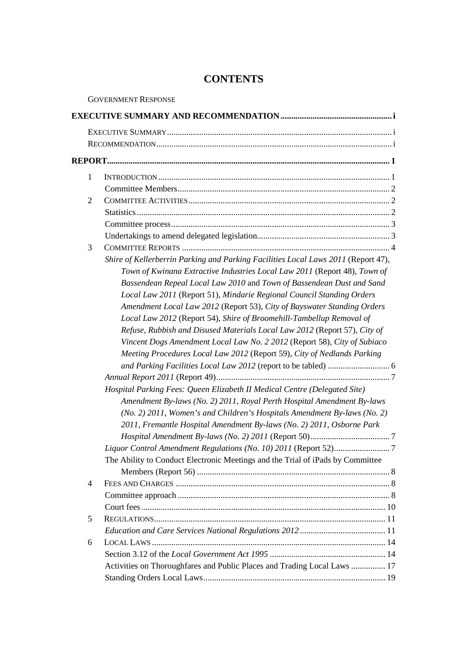# **CONTENTS**

|                | <b>GOVERNMENT RESPONSE</b>                                                        |  |  |  |
|----------------|-----------------------------------------------------------------------------------|--|--|--|
|                |                                                                                   |  |  |  |
|                |                                                                                   |  |  |  |
|                |                                                                                   |  |  |  |
|                |                                                                                   |  |  |  |
| $\mathbf{1}$   |                                                                                   |  |  |  |
|                |                                                                                   |  |  |  |
| $\overline{2}$ |                                                                                   |  |  |  |
|                |                                                                                   |  |  |  |
|                |                                                                                   |  |  |  |
|                |                                                                                   |  |  |  |
| 3              |                                                                                   |  |  |  |
|                | Shire of Kellerberrin Parking and Parking Facilities Local Laws 2011 (Report 47), |  |  |  |
|                | Town of Kwinana Extractive Industries Local Law 2011 (Report 48), Town of         |  |  |  |
|                | Bassendean Repeal Local Law 2010 and Town of Bassendean Dust and Sand             |  |  |  |
|                | Local Law 2011 (Report 51), Mindarie Regional Council Standing Orders             |  |  |  |
|                | Amendment Local Law 2012 (Report 53), City of Bayswater Standing Orders           |  |  |  |
|                | Local Law 2012 (Report 54), Shire of Broomehill-Tambellup Removal of              |  |  |  |
|                | Refuse, Rubbish and Disused Materials Local Law 2012 (Report 57), City of         |  |  |  |
|                | Vincent Dogs Amendment Local Law No. 2 2012 (Report 58), City of Subiaco          |  |  |  |
|                | Meeting Procedures Local Law 2012 (Report 59), City of Nedlands Parking           |  |  |  |
|                |                                                                                   |  |  |  |
|                |                                                                                   |  |  |  |
|                | Hospital Parking Fees: Queen Elizabeth II Medical Centre (Delegated Site)         |  |  |  |
|                | Amendment By-laws (No. 2) 2011, Royal Perth Hospital Amendment By-laws            |  |  |  |
|                | $(No. 2)$ 2011, Women's and Children's Hospitals Amendment By-laws (No. 2)        |  |  |  |
|                | 2011, Fremantle Hospital Amendment By-laws (No. 2) 2011, Osborne Park             |  |  |  |
|                |                                                                                   |  |  |  |
|                |                                                                                   |  |  |  |
|                | The Ability to Conduct Electronic Meetings and the Trial of iPads by Committee    |  |  |  |
|                |                                                                                   |  |  |  |
| $\overline{4}$ |                                                                                   |  |  |  |
|                |                                                                                   |  |  |  |
|                |                                                                                   |  |  |  |
| 5              |                                                                                   |  |  |  |
|                |                                                                                   |  |  |  |
| 6              |                                                                                   |  |  |  |
|                |                                                                                   |  |  |  |
|                | Activities on Thoroughfares and Public Places and Trading Local Laws  17          |  |  |  |
|                |                                                                                   |  |  |  |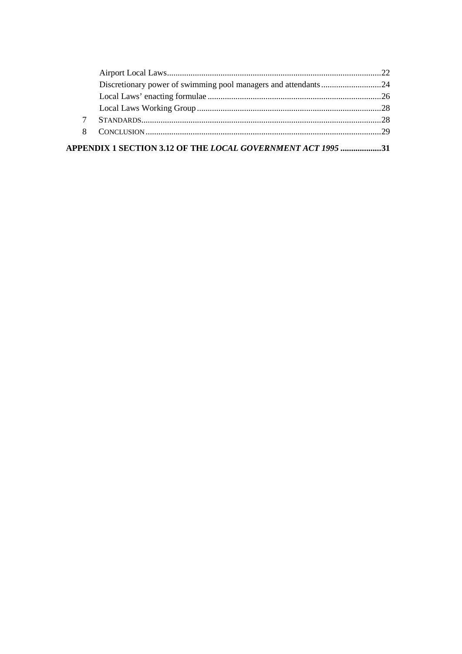| $\tau$ |  |
|--------|--|
| 8      |  |
|        |  |

APPENDIX 1 SECTION 3.12 OF THE *LOCAL GOVERNMENT ACT 1995* ...................31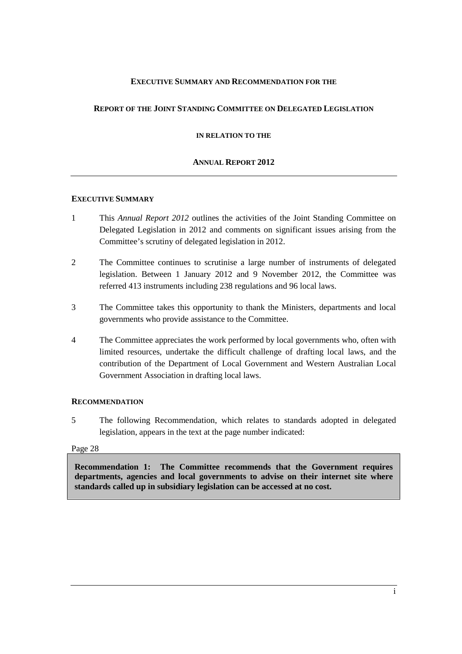## **EXECUTIVE SUMMARY AND RECOMMENDATION FOR THE**

# **REPORT OF THE JOINT STANDING COMMITTEE ON DELEGATED LEGISLATION**

**IN RELATION TO THE**

## **ANNUAL REPORT 2012**

#### **EXECUTIVE SUMMARY**

- 1 This *Annual Report 2012* outlines the activities of the Joint Standing Committee on Delegated Legislation in 2012 and comments on significant issues arising from the Committee's scrutiny of delegated legislation in 2012.
- 2 The Committee continues to scrutinise a large number of instruments of delegated legislation. Between 1 January 2012 and 9 November 2012, the Committee was referred 413 instruments including 238 regulations and 96 local laws.
- 3 The Committee takes this opportunity to thank the Ministers, departments and local governments who provide assistance to the Committee.
- 4 The Committee appreciates the work performed by local governments who, often with limited resources, undertake the difficult challenge of drafting local laws, and the contribution of the Department of Local Government and Western Australian Local Government Association in drafting local laws.

#### **RECOMMENDATION**

5 The following Recommendation, which relates to standards adopted in delegated legislation, appears in the text at the page number indicated:

#### Page [28](#page-35-0)

**[Recommendation 1: The Committee recommends that the Government requires](#page-35-0)  [departments, agencies and local governments to advise on their internet site where](#page-35-0)  [standards called up in subsidiary legislation can be accessed at no cost.](#page-35-0)**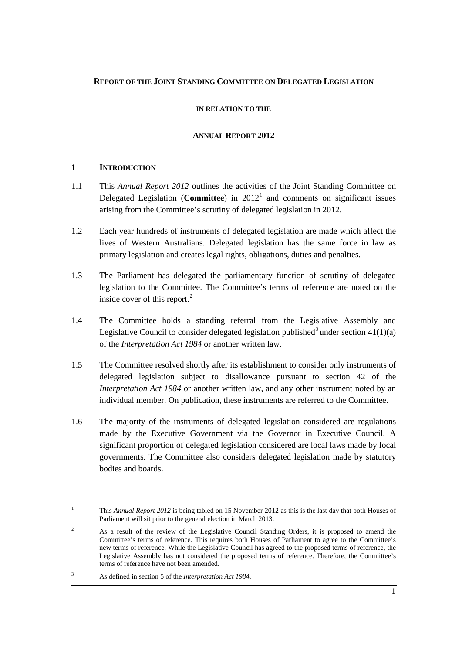# **REPORT OF THE JOINT STANDING COMMITTEE ON DELEGATED LEGISLATION**

#### **IN RELATION TO THE**

#### **ANNUAL REPORT 2012**

#### **1 INTRODUCTION**

- 1.1 This *Annual Report 2012* outlines the activities of the Joint Standing Committee on Delegated Legislation (**Committee**) in  $2012<sup>1</sup>$  $2012<sup>1</sup>$  $2012<sup>1</sup>$  and comments on significant issues arising from the Committee's scrutiny of delegated legislation in 2012.
- 1.2 Each year hundreds of instruments of delegated legislation are made which affect the lives of Western Australians. Delegated legislation has the same force in law as primary legislation and creates legal rights, obligations, duties and penalties.
- 1.3 The Parliament has delegated the parliamentary function of scrutiny of delegated legislation to the Committee. The Committee's terms of reference are noted on the inside cover of this report.<sup>[2](#page-8-1)</sup>
- 1.4 The Committee holds a standing referral from the Legislative Assembly and Legislative Council to consider delegated legislation published<sup>[3](#page-8-2)</sup> under section  $41(1)(a)$ of the *Interpretation Act 1984* or another written law.
- 1.5 The Committee resolved shortly after its establishment to consider only instruments of delegated legislation subject to disallowance pursuant to section 42 of the *Interpretation Act 1984* or another written law, and any other instrument noted by an individual member. On publication, these instruments are referred to the Committee.
- 1.6 The majority of the instruments of delegated legislation considered are regulations made by the Executive Government via the Governor in Executive Council. A significant proportion of delegated legislation considered are local laws made by local governments. The Committee also considers delegated legislation made by statutory bodies and boards.

<span id="page-8-0"></span><sup>&</sup>lt;sup>1</sup> This *Annual Report 2012* is being tabled on 15 November 2012 as this is the last day that both Houses of Parliament will sit prior to the general election in March 2013.

<span id="page-8-1"></span><sup>&</sup>lt;sup>2</sup> As a result of the review of the Legislative Council Standing Orders, it is proposed to amend the Committee's terms of reference. This requires both Houses of Parliament to agree to the Committee's new terms of reference. While the Legislative Council has agreed to the proposed terms of reference, the Legislative Assembly has not considered the proposed terms of reference. Therefore, the Committee's terms of reference have not been amended.

<span id="page-8-2"></span><sup>3</sup> As defined in section 5 of the *Interpretation Act 1984*.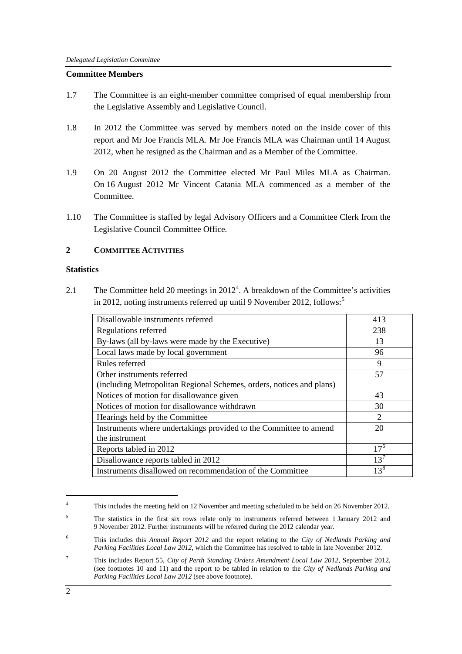#### **Committee Members**

- 1.7 The Committee is an eight-member committee comprised of equal membership from the Legislative Assembly and Legislative Council.
- 1.8 In 2012 the Committee was served by members noted on the inside cover of this report and Mr Joe Francis MLA. Mr Joe Francis MLA was Chairman until 14 August 2012, when he resigned as the Chairman and as a Member of the Committee.
- 1.9 On 20 August 2012 the Committee elected Mr Paul Miles MLA as Chairman. On 16 August 2012 Mr Vincent Catania MLA commenced as a member of the Committee.
- 1.10 The Committee is staffed by legal Advisory Officers and a Committee Clerk from the Legislative Council Committee Office.

# **2 COMMITTEE ACTIVITIES**

#### **Statistics**

2.1 The Committee held 20 meetings in  $2012<sup>4</sup>$  $2012<sup>4</sup>$  $2012<sup>4</sup>$ . A breakdown of the Committee's activities in 2012, noting instruments referred up until 9 November 2012, follows:<sup>[5](#page-9-1)</sup>

| Disallowable instruments referred                                    | 413      |
|----------------------------------------------------------------------|----------|
| Regulations referred                                                 | 238      |
| By-laws (all by-laws were made by the Executive)                     | 13       |
| Local laws made by local government                                  | 96       |
| Rules referred                                                       | 9        |
| Other instruments referred                                           | 57       |
| (including Metropolitan Regional Schemes, orders, notices and plans) |          |
| Notices of motion for disallowance given                             | 43       |
| Notices of motion for disallowance withdrawn                         | 30       |
| Hearings held by the Committee                                       | 2        |
| Instruments where undertakings provided to the Committee to amend    | 20       |
| the instrument                                                       |          |
| Reports tabled in 2012                                               | $17^{6}$ |
| Disallowance reports tabled in 2012                                  | $13^7$   |
| Instruments disallowed on recommendation of the Committee            | $13^8$   |

<span id="page-9-0"></span><sup>&</sup>lt;sup>4</sup> This includes the meeting held on 12 November and meeting scheduled to be held on 26 November 2012.

<span id="page-9-4"></span><span id="page-9-1"></span><sup>&</sup>lt;sup>5</sup> The statistics in the first six rows relate only to instruments referred between 1 January 2012 and 9 November 2012. Further instruments will be referred during the 2012 calendar year.

<span id="page-9-2"></span><sup>6</sup> This includes this *Annual Report 2012* and the report relating to the *City of Nedlands Parking and Parking Facilities Local Law 2012*, which the Committee has resolved to table in late November 2012.

<span id="page-9-3"></span><sup>7</sup> This includes Report 55, *City of Perth Standing Orders Amendment Local Law 2012*, September 2012, (see footnotes 10 and 11) and the report to be tabled in relation to the *City of Nedlands Parking and Parking Facilities Local Law 2012* (see above footnote).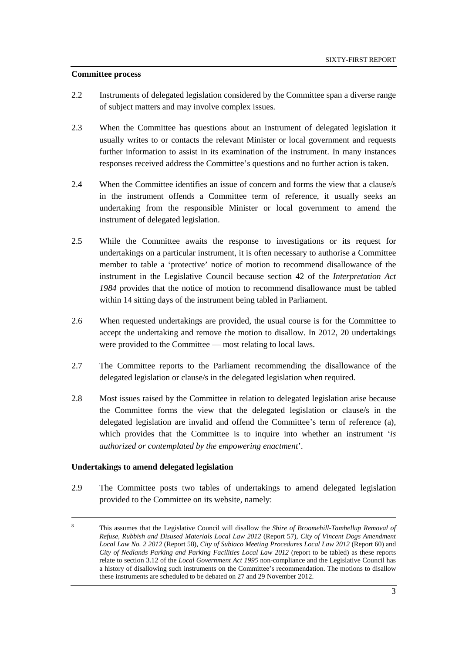#### **Committee process**

- 2.2 Instruments of delegated legislation considered by the Committee span a diverse range of subject matters and may involve complex issues.
- 2.3 When the Committee has questions about an instrument of delegated legislation it usually writes to or contacts the relevant Minister or local government and requests further information to assist in its examination of the instrument. In many instances responses received address the Committee's questions and no further action is taken.
- 2.4 When the Committee identifies an issue of concern and forms the view that a clause/s in the instrument offends a Committee term of reference, it usually seeks an undertaking from the responsible Minister or local government to amend the instrument of delegated legislation.
- 2.5 While the Committee awaits the response to investigations or its request for undertakings on a particular instrument, it is often necessary to authorise a Committee member to table a 'protective' notice of motion to recommend disallowance of the instrument in the Legislative Council because section 42 of the *Interpretation Act 1984* provides that the notice of motion to recommend disallowance must be tabled within 14 sitting days of the instrument being tabled in Parliament.
- 2.6 When requested undertakings are provided, the usual course is for the Committee to accept the undertaking and remove the motion to disallow. In 2012, 20 undertakings were provided to the Committee — most relating to local laws.
- 2.7 The Committee reports to the Parliament recommending the disallowance of the delegated legislation or clause/s in the delegated legislation when required.
- 2.8 Most issues raised by the Committee in relation to delegated legislation arise because the Committee forms the view that the delegated legislation or clause/s in the delegated legislation are invalid and offend the Committee's term of reference (a), which provides that the Committee is to inquire into whether an instrument '*is authorized or contemplated by the empowering enactment*'.

# **Undertakings to amend delegated legislation**

2.9 The Committee posts two tables of undertakings to amend delegated legislation provided to the Committee on its website, namely:

 <sup>8</sup> This assumes that the Legislative Council will disallow the *Shire of Broomehill-Tambellup Removal of Refuse, Rubbish and Disused Materials Local Law 2012* (Report 57), *City of Vincent Dogs Amendment Local Law No. 2 2012* (Report 58), *City of Subiaco Meeting Procedures Local Law 2012* (Report 60) and *City of Nedlands Parking and Parking Facilities Local Law 2012* (report to be tabled) as these reports relate to section 3.12 of the *Local Government Act 1995* non-compliance and the Legislative Council has a history of disallowing such instruments on the Committee's recommendation. The motions to disallow these instruments are scheduled to be debated on 27 and 29 November 2012.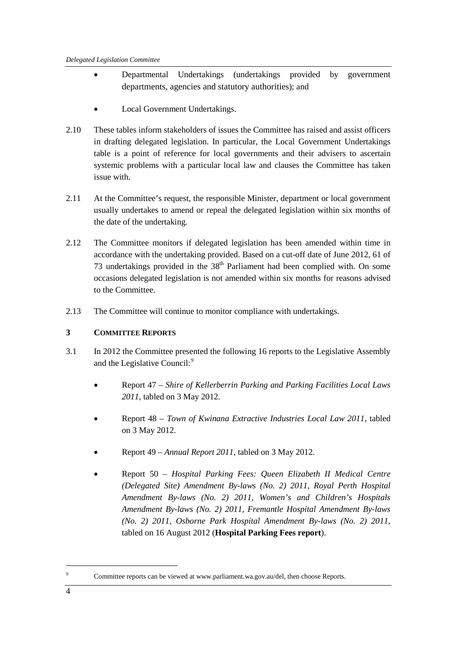- Departmental Undertakings (undertakings provided by government departments, agencies and statutory authorities); and
- Local Government Undertakings.
- 2.10 These tables inform stakeholders of issues the Committee has raised and assist officers in drafting delegated legislation. In particular, the Local Government Undertakings table is a point of reference for local governments and their advisers to ascertain systemic problems with a particular local law and clauses the Committee has taken issue with.
- 2.11 At the Committee's request, the responsible Minister, department or local government usually undertakes to amend or repeal the delegated legislation within six months of the date of the undertaking.
- 2.12 The Committee monitors if delegated legislation has been amended within time in accordance with the undertaking provided. Based on a cut-off date of June 2012, 61 of 73 undertakings provided in the  $38<sup>th</sup>$  Parliament had been complied with. On some occasions delegated legislation is not amended within six months for reasons advised to the Committee.
- 2.13 The Committee will continue to monitor compliance with undertakings.

# **3 COMMITTEE REPORTS**

- 3.1 In 2012 the Committee presented the following 16 reports to the Legislative Assembly and the Legislative Council:<sup>[9](#page-11-0)</sup>
	- Report 47 *Shire of Kellerberrin Parking and Parking Facilities Local Laws 2011*, tabled on 3 May 2012.
	- Report 48 *Town of Kwinana Extractive Industries Local Law 2011*, tabled on 3 May 2012.
	- Report 49 *Annual Report 2011*, tabled on 3 May 2012.
	- Report 50 *Hospital Parking Fees: Queen Elizabeth II Medical Centre (Delegated Site) Amendment By-laws (No. 2) 2011, Royal Perth Hospital Amendment By-laws (No. 2) 2011, Women's and Children's Hospitals Amendment By-laws (No. 2) 2011, Fremantle Hospital Amendment By-laws (No. 2) 2011, Osborne Park Hospital Amendment By-laws (No. 2) 2011*, tabled on 16 August 2012 (**Hospital Parking Fees report**).

<span id="page-11-0"></span>Committee reports can be viewed at www.parliament.wa.gov.au/del, then choose Reports.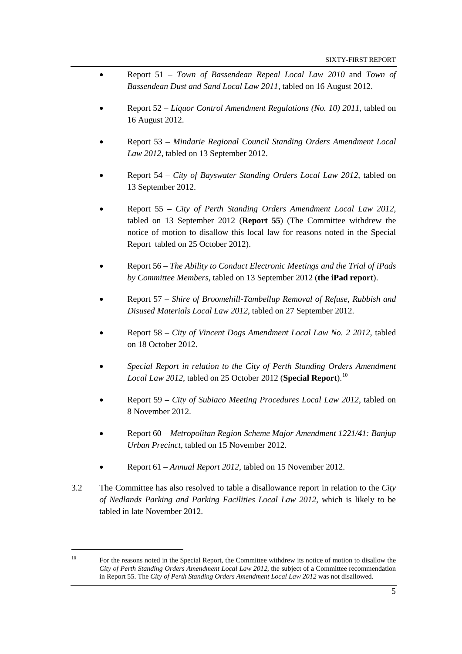- Report 51 *Town of Bassendean Repeal Local Law 2010* and *Town of Bassendean Dust and Sand Local Law 2011*, tabled on 16 August 2012.
- Report 52 *Liquor Control Amendment Regulations (No. 10) 2011*, tabled on 16 August 2012.
- Report 53 *Mindarie Regional Council Standing Orders Amendment Local Law 2012*, tabled on 13 September 2012.
- Report 54 *City of Bayswater Standing Orders Local Law 2012*, tabled on 13 September 2012.
- Report 55 *City of Perth Standing Orders Amendment Local Law 2012*, tabled on 13 September 2012 (**Report 55**) (The Committee withdrew the notice of motion to disallow this local law for reasons noted in the Special Report tabled on 25 October 2012).
- Report 56 *The Ability to Conduct Electronic Meetings and the Trial of iPads by Committee Members*, tabled on 13 September 2012 (**the iPad report**).
- Report 57 *Shire of Broomehill-Tambellup Removal of Refuse, Rubbish and Disused Materials Local Law 2012*, tabled on 27 September 2012.
- Report 58 *City of Vincent Dogs Amendment Local Law No. 2 2012*, tabled on 18 October 2012.
- *Special Report in relation to the City of Perth Standing Orders Amendment Local Law 2012,* tabled on 25 October 2012 (**Special Report**). [10](#page-12-0)
- Report 59 *City of Subiaco Meeting Procedures Local Law 2012*, tabled on 8 November 2012.
- Report 60 *Metropolitan Region Scheme Major Amendment 1221/41: Banjup Urban Precinct*, tabled on 15 November 2012.
- Report 61 *Annual Report 2012*, tabled on 15 November 2012.
- 3.2 The Committee has also resolved to table a disallowance report in relation to the *City of Nedlands Parking and Parking Facilities Local Law 2012*, which is likely to be tabled in late November 2012.

<span id="page-12-0"></span><sup>&</sup>lt;sup>10</sup> For the reasons noted in the Special Report, the Committee withdrew its notice of motion to disallow the *City of Perth Standing Orders Amendment Local Law 2012*, the subject of a Committee recommendation in Report 55. The *City of Perth Standing Orders Amendment Local Law 2012* was not disallowed.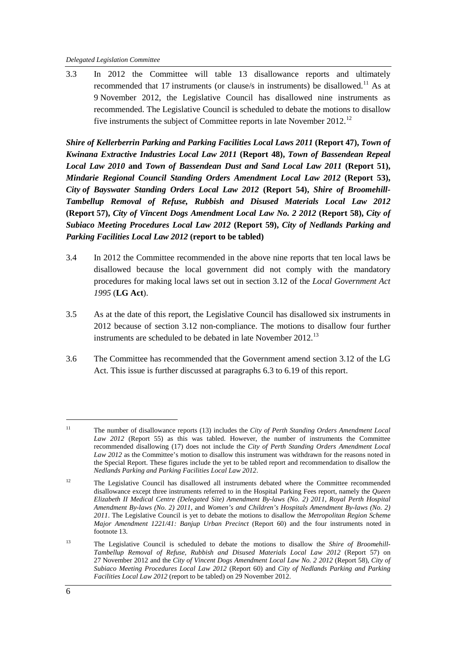3.3 In 2012 the Committee will table 13 disallowance reports and ultimately recommended that 17 instruments (or clause/s in instruments) be disallowed.<sup>[11](#page-13-0)</sup> As at 9 November 2012, the Legislative Council has disallowed nine instruments as recommended. The Legislative Council is scheduled to debate the motions to disallow five instruments the subject of Committee reports in late November 20[12](#page-13-1).<sup>12</sup>

*Shire of Kellerberrin Parking and Parking Facilities Local Laws 2011* **(Report 47),** *Town of Kwinana Extractive Industries Local Law 2011* **(Report 48),** *Town of Bassendean Repeal Local Law 2010* **and** *Town of Bassendean Dust and Sand Local Law 2011* **(Report 51),** *Mindarie Regional Council Standing Orders Amendment Local Law 2012* **(Report 53),** *City of Bayswater Standing Orders Local Law 2012* **(Report 54),** *Shire of Broomehill-Tambellup Removal of Refuse, Rubbish and Disused Materials Local Law 2012* **(Report 57),** *City of Vincent Dogs Amendment Local Law No. 2 2012* **(Report 58),** *City of Subiaco Meeting Procedures Local Law 2012* **(Report 59),** *City of Nedlands Parking and Parking Facilities Local Law 2012* **(report to be tabled)**

- 3.4 In 2012 the Committee recommended in the above nine reports that ten local laws be disallowed because the local government did not comply with the mandatory procedures for making local laws set out in section 3.12 of the *Local Government Act 1995* (**LG Act**).
- 3.5 As at the date of this report, the Legislative Council has disallowed six instruments in 2012 because of section 3.12 non-compliance. The motions to disallow four further instruments are scheduled to be debated in late November 2012.<sup>[13](#page-13-2)</sup>
- 3.6 The Committee has recommended that the Government amend section 3.12 of the LG Act. This issue is further discussed at paragraphs 6.3 to 6.19 of this report.

<span id="page-13-0"></span> <sup>11</sup> The number of disallowance reports (13) includes the *City of Perth Standing Orders Amendment Local Law 2012* (Report 55) as this was tabled. However, the number of instruments the Committee recommended disallowing (17) does not include the *City of Perth Standing Orders Amendment Local Law 2012* as the Committee's motion to disallow this instrument was withdrawn for the reasons noted in the Special Report. These figures include the yet to be tabled report and recommendation to disallow the *Nedlands Parking and Parking Facilities Local Law 2012*.

<span id="page-13-1"></span><sup>&</sup>lt;sup>12</sup> The Legislative Council has disallowed all instruments debated where the Committee recommended disallowance except three instruments referred to in the Hospital Parking Fees report, namely the *Queen Elizabeth II Medical Centre (Delegated Site) Amendment By-laws (No. 2) 2011*, *Royal Perth Hospital Amendment By-laws (No. 2) 2011*, and *Women's and Children's Hospitals Amendment By-laws (No. 2) 2011*. The Legislative Council is yet to debate the motions to disallow the *Metropolitan Region Scheme Major Amendment 1221/41: Banjup Urban Precinct* (Report 60) and the four instruments noted in footnote 13.

<span id="page-13-2"></span><sup>13</sup> The Legislative Council is scheduled to debate the motions to disallow the *Shire of Broomehill-Tambellup Removal of Refuse, Rubbish and Disused Materials Local Law 2012* (Report 57) on 27 November 2012 and the *City of Vincent Dogs Amendment Local Law No. 2 2012* (Report 58), *City of Subiaco Meeting Procedures Local Law 2012* (Report 60) and *City of Nedlands Parking and Parking Facilities Local Law 2012* (report to be tabled) on 29 November 2012.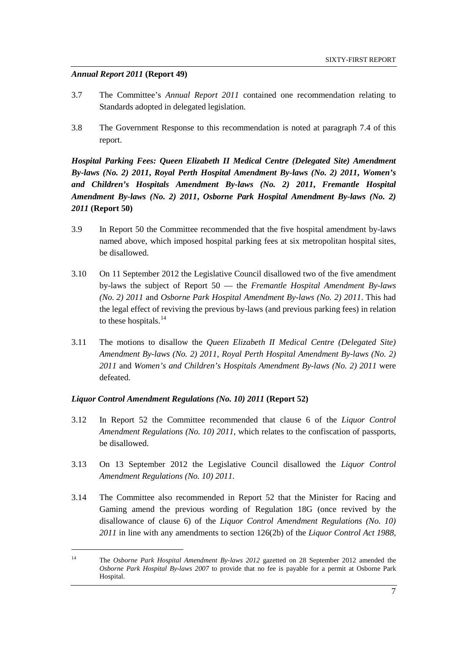## *Annual Report 2011* **(Report 49)**

- 3.7 The Committee's *Annual Report 2011* contained one recommendation relating to Standards adopted in delegated legislation.
- 3.8 The Government Response to this recommendation is noted at paragraph 7.4 of this report.

*Hospital Parking Fees: Queen Elizabeth II Medical Centre (Delegated Site) Amendment By-laws (No. 2) 2011***,** *Royal Perth Hospital Amendment By-laws (No. 2) 2011***,** *Women's and Children's Hospitals Amendment By-laws (No. 2) 2011***,** *Fremantle Hospital Amendment By-laws (No. 2) 2011***,** *Osborne Park Hospital Amendment By-laws (No. 2) 2011* **(Report 50)**

- 3.9 In Report 50 the Committee recommended that the five hospital amendment by-laws named above, which imposed hospital parking fees at six metropolitan hospital sites, be disallowed.
- 3.10 On 11 September 2012 the Legislative Council disallowed two of the five amendment by-laws the subject of Report 50 — the *Fremantle Hospital Amendment By-laws (No. 2) 2011* and *Osborne Park Hospital Amendment By-laws (No. 2) 2011*. This had the legal effect of reviving the previous by-laws (and previous parking fees) in relation to these hospitals. $^{14}$  $^{14}$  $^{14}$
- 3.11 The motions to disallow the *Queen Elizabeth II Medical Centre (Delegated Site) Amendment By-laws (No. 2) 2011*, *Royal Perth Hospital Amendment By-laws (No. 2) 2011* and *Women's and Children's Hospitals Amendment By-laws (No. 2) 2011* were defeated.

#### *Liquor Control Amendment Regulations (No. 10) 2011* **(Report 52)**

- 3.12 In Report 52 the Committee recommended that clause 6 of the *Liquor Control Amendment Regulations (No. 10) 2011*, which relates to the confiscation of passports, be disallowed.
- 3.13 On 13 September 2012 the Legislative Council disallowed the *Liquor Control Amendment Regulations (No. 10) 2011*.
- 3.14 The Committee also recommended in Report 52 that the Minister for Racing and Gaming amend the previous wording of Regulation 18G (once revived by the disallowance of clause 6) of the *Liquor Control Amendment Regulations (No. 10) 2011* in line with any amendments to section 126(2b) of the *Liquor Control Act 1988*,

<span id="page-14-0"></span> <sup>14</sup> The *Osborne Park Hospital Amendment By-laws 2012* gazetted on 28 September 2012 amended the *Osborne Park Hospital By-laws 2007* to provide that no fee is payable for a permit at Osborne Park Hospital.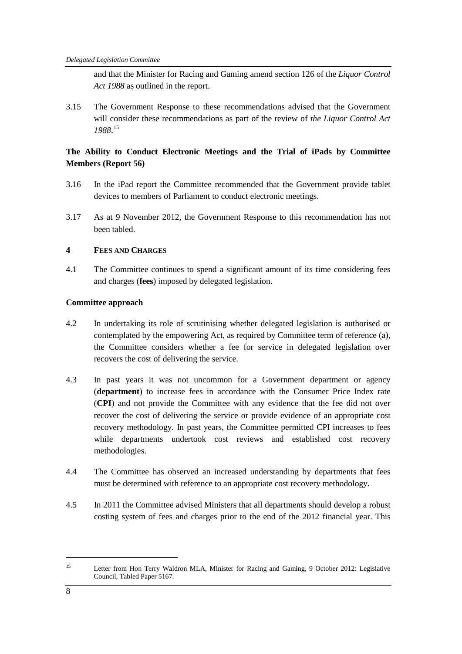and that the Minister for Racing and Gaming amend section 126 of the *Liquor Control Act 1988* as outlined in the report.

3.15 The Government Response to these recommendations advised that the Government will consider these recommendations as part of the review of *the Liquor Control Act 1988*. [15](#page-15-0)

# **The Ability to Conduct Electronic Meetings and the Trial of iPads by Committee Members (Report 56)**

- 3.16 In the iPad report the Committee recommended that the Government provide tablet devices to members of Parliament to conduct electronic meetings.
- 3.17 As at 9 November 2012, the Government Response to this recommendation has not been tabled.

# **4 FEES AND CHARGES**

4.1 The Committee continues to spend a significant amount of its time considering fees and charges (**fees**) imposed by delegated legislation.

# **Committee approach**

- 4.2 In undertaking its role of scrutinising whether delegated legislation is authorised or contemplated by the empowering Act, as required by Committee term of reference (a), the Committee considers whether a fee for service in delegated legislation over recovers the cost of delivering the service.
- 4.3 In past years it was not uncommon for a Government department or agency (**department**) to increase fees in accordance with the Consumer Price Index rate (**CPI**) and not provide the Committee with any evidence that the fee did not over recover the cost of delivering the service or provide evidence of an appropriate cost recovery methodology. In past years, the Committee permitted CPI increases to fees while departments undertook cost reviews and established cost recovery methodologies.
- 4.4 The Committee has observed an increased understanding by departments that fees must be determined with reference to an appropriate cost recovery methodology.
- 4.5 In 2011 the Committee advised Ministers that all departments should develop a robust costing system of fees and charges prior to the end of the 2012 financial year. This

<span id="page-15-0"></span> <sup>15</sup> Letter from Hon Terry Waldron MLA, Minister for Racing and Gaming, 9 October 2012: Legislative Council, Tabled Paper 5167.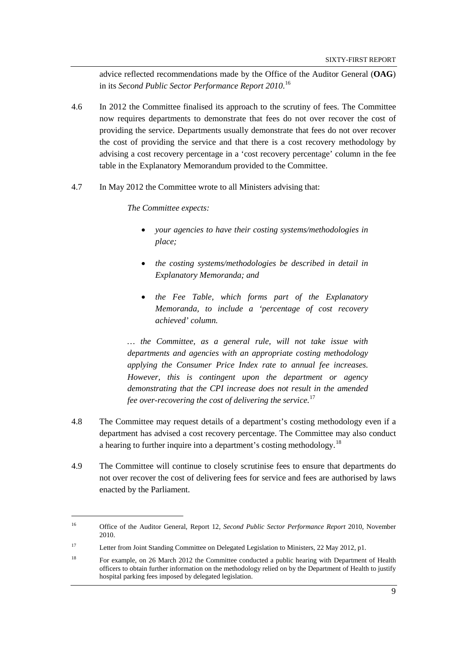advice reflected recommendations made by the Office of the Auditor General (**OAG**) in its *Second Public Sector Performance Report 2010*. [16](#page-16-0)

- 4.6 In 2012 the Committee finalised its approach to the scrutiny of fees. The Committee now requires departments to demonstrate that fees do not over recover the cost of providing the service. Departments usually demonstrate that fees do not over recover the cost of providing the service and that there is a cost recovery methodology by advising a cost recovery percentage in a 'cost recovery percentage' column in the fee table in the Explanatory Memorandum provided to the Committee.
- 4.7 In May 2012 the Committee wrote to all Ministers advising that:

*The Committee expects:*

- *your agencies to have their costing systems/methodologies in place;*
- *the costing systems/methodologies be described in detail in Explanatory Memoranda; and*
- *the Fee Table, which forms part of the Explanatory Memoranda, to include a 'percentage of cost recovery achieved' column.*

*… the Committee, as a general rule, will not take issue with departments and agencies with an appropriate costing methodology applying the Consumer Price Index rate to annual fee increases. However, this is contingent upon the department or agency demonstrating that the CPI increase does not result in the amended fee over-recovering the cost of delivering the service.*[17](#page-16-1)

- 4.8 The Committee may request details of a department's costing methodology even if a department has advised a cost recovery percentage. The Committee may also conduct a hearing to further inquire into a department's costing methodology.<sup>[18](#page-16-2)</sup>
- 4.9 The Committee will continue to closely scrutinise fees to ensure that departments do not over recover the cost of delivering fees for service and fees are authorised by laws enacted by the Parliament.

<span id="page-16-0"></span> <sup>16</sup> Office of the Auditor General, Report 12, *Second Public Sector Performance Report* 2010, November 2010.

<span id="page-16-1"></span><sup>&</sup>lt;sup>17</sup> Letter from Joint Standing Committee on Delegated Legislation to Ministers, 22 May 2012, p1.

<span id="page-16-2"></span><sup>&</sup>lt;sup>18</sup> For example, on 26 March 2012 the Committee conducted a public hearing with Department of Health officers to obtain further information on the methodology relied on by the Department of Health to justify hospital parking fees imposed by delegated legislation.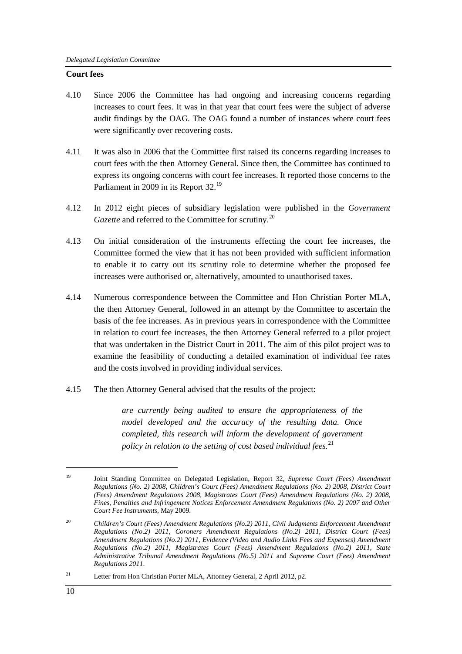#### **Court fees**

- 4.10 Since 2006 the Committee has had ongoing and increasing concerns regarding increases to court fees. It was in that year that court fees were the subject of adverse audit findings by the OAG. The OAG found a number of instances where court fees were significantly over recovering costs.
- 4.11 It was also in 2006 that the Committee first raised its concerns regarding increases to court fees with the then Attorney General. Since then, the Committee has continued to express its ongoing concerns with court fee increases. It reported those concerns to the Parliament in 2009 in its Report 32.<sup>[19](#page-17-0)</sup>
- 4.12 In 2012 eight pieces of subsidiary legislation were published in the *Government Gazette* and referred to the Committee for scrutiny.<sup>[20](#page-17-1)</sup>
- 4.13 On initial consideration of the instruments effecting the court fee increases, the Committee formed the view that it has not been provided with sufficient information to enable it to carry out its scrutiny role to determine whether the proposed fee increases were authorised or, alternatively, amounted to unauthorised taxes.
- 4.14 Numerous correspondence between the Committee and Hon Christian Porter MLA, the then Attorney General, followed in an attempt by the Committee to ascertain the basis of the fee increases. As in previous years in correspondence with the Committee in relation to court fee increases, the then Attorney General referred to a pilot project that was undertaken in the District Court in 2011. The aim of this pilot project was to examine the feasibility of conducting a detailed examination of individual fee rates and the costs involved in providing individual services.
- 4.15 The then Attorney General advised that the results of the project:

*are currently being audited to ensure the appropriateness of the model developed and the accuracy of the resulting data. Once completed, this research will inform the development of government policy in relation to the setting of cost based individual fees.* [21](#page-17-2)

<span id="page-17-0"></span> <sup>19</sup> Joint Standing Committee on Delegated Legislation, Report 32, *Supreme Court (Fees) Amendment Regulations (No. 2) 2008, Children's Court (Fees) Amendment Regulations (No. 2) 2008, District Court (Fees) Amendment Regulations 2008, Magistrates Court (Fees) Amendment Regulations (No. 2) 2008, Fines, Penalties and Infringement Notices Enforcement Amendment Regulations (No. 2) 2007 and Other Court Fee Instruments*, May 2009.

<span id="page-17-1"></span><sup>20</sup> *Children's Court (Fees) Amendment Regulations (No.2) 2011*, *Civil Judgments Enforcement Amendment Regulations (No.2) 2011*, *Coroners Amendment Regulations (No.2) 2011*, *District Court (Fees) Amendment Regulations (No.2) 2011*, *Evidence (Video and Audio Links Fees and Expenses) Amendment Regulations (No.2) 2011*, *Magistrates Court (Fees) Amendment Regulations (No.2) 2011*, *State Administrative Tribunal Amendment Regulations (No.5) 2011* and *Supreme Court (Fees) Amendment Regulations 2011*.

<span id="page-17-2"></span><sup>&</sup>lt;sup>21</sup> Letter from Hon Christian Porter MLA, Attorney General, 2 April 2012, p2.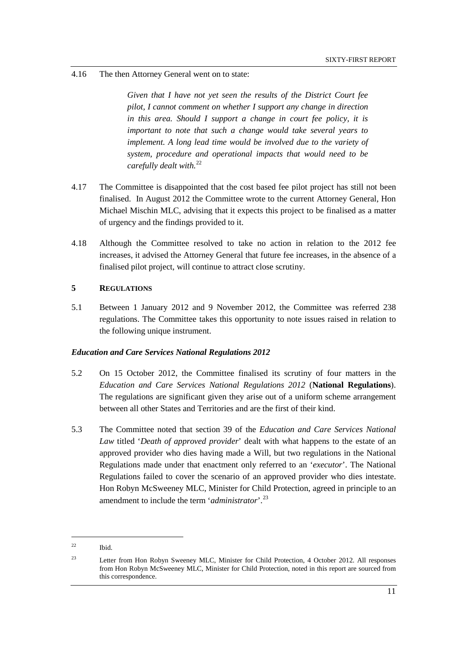#### 4.16 The then Attorney General went on to state:

*Given that I have not yet seen the results of the District Court fee pilot, I cannot comment on whether I support any change in direction in this area. Should I support a change in court fee policy, it is important to note that such a change would take several years to implement. A long lead time would be involved due to the variety of system, procedure and operational impacts that would need to be carefully dealt with.* [22](#page-18-0)

- 4.17 The Committee is disappointed that the cost based fee pilot project has still not been finalised. In August 2012 the Committee wrote to the current Attorney General, Hon Michael Mischin MLC, advising that it expects this project to be finalised as a matter of urgency and the findings provided to it.
- 4.18 Although the Committee resolved to take no action in relation to the 2012 fee increases, it advised the Attorney General that future fee increases, in the absence of a finalised pilot project, will continue to attract close scrutiny.

#### **5 REGULATIONS**

5.1 Between 1 January 2012 and 9 November 2012, the Committee was referred 238 regulations. The Committee takes this opportunity to note issues raised in relation to the following unique instrument.

#### *Education and Care Services National Regulations 2012*

- 5.2 On 15 October 2012, the Committee finalised its scrutiny of four matters in the *Education and Care Services National Regulations 2012* (**National Regulations**). The regulations are significant given they arise out of a uniform scheme arrangement between all other States and Territories and are the first of their kind.
- 5.3 The Committee noted that section 39 of the *Education and Care Services National Law* titled '*Death of approved provider*' dealt with what happens to the estate of an approved provider who dies having made a Will, but two regulations in the National Regulations made under that enactment only referred to an '*executor*'. The National Regulations failed to cover the scenario of an approved provider who dies intestate. Hon Robyn McSweeney MLC, Minister for Child Protection, agreed in principle to an amendment to include the term '*administrator*'. [23](#page-18-1)

<span id="page-18-0"></span> <sup>22</sup> Ibid.

<span id="page-18-1"></span><sup>&</sup>lt;sup>23</sup> Letter from Hon Robyn Sweeney MLC, Minister for Child Protection, 4 October 2012. All responses from Hon Robyn McSweeney MLC, Minister for Child Protection, noted in this report are sourced from this correspondence.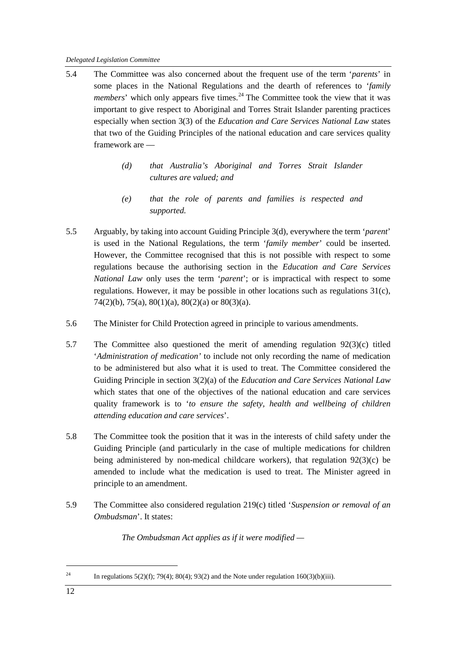- 5.4 The Committee was also concerned about the frequent use of the term '*parents*' in some places in the National Regulations and the dearth of references to '*family members*' which only appears five times.<sup>[24](#page-19-0)</sup> The Committee took the view that it was important to give respect to Aboriginal and Torres Strait Islander parenting practices especially when section 3(3) of the *Education and Care Services National Law* states that two of the Guiding Principles of the national education and care services quality framework are —
	- *(d) that Australia's Aboriginal and Torres Strait Islander cultures are valued; and*
	- *(e) that the role of parents and families is respected and supported.*
- 5.5 Arguably, by taking into account Guiding Principle 3(d), everywhere the term '*parent*' is used in the National Regulations, the term '*family member*' could be inserted. However, the Committee recognised that this is not possible with respect to some regulations because the authorising section in the *Education and Care Services National Law* only uses the term '*parent*'; or is impractical with respect to some regulations. However, it may be possible in other locations such as regulations 31(c), 74(2)(b), 75(a), 80(1)(a), 80(2)(a) or 80(3)(a).
- 5.6 The Minister for Child Protection agreed in principle to various amendments.
- 5.7 The Committee also questioned the merit of amending regulation 92(3)(c) titled '*Administration of medication'* to include not only recording the name of medication to be administered but also what it is used to treat. The Committee considered the Guiding Principle in section 3(2)(a) of the *Education and Care Services National Law* which states that one of the objectives of the national education and care services quality framework is to '*to ensure the safety, health and wellbeing of children attending education and care services*'.
- 5.8 The Committee took the position that it was in the interests of child safety under the Guiding Principle (and particularly in the case of multiple medications for children being administered by non-medical childcare workers), that regulation 92(3)(c) be amended to include what the medication is used to treat. The Minister agreed in principle to an amendment.
- 5.9 The Committee also considered regulation 219(c) titled '*Suspension or removal of an Ombudsman*'. It states:

*The Ombudsman Act applies as if it were modified —*

<span id="page-19-0"></span><sup>&</sup>lt;sup>24</sup> In regulations 5(2)(f); 79(4); 80(4); 93(2) and the Note under regulation 160(3)(b)(iii).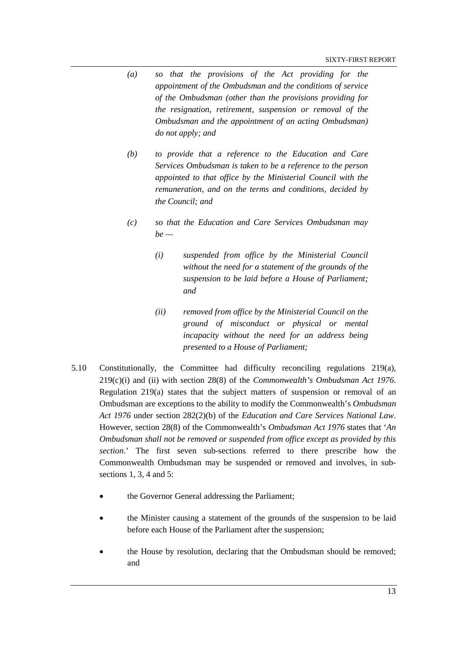- *(a) so that the provisions of the Act providing for the appointment of the Ombudsman and the conditions of service of the Ombudsman (other than the provisions providing for the resignation, retirement, suspension or removal of the Ombudsman and the appointment of an acting Ombudsman) do not apply; and*
- *(b) to provide that a reference to the Education and Care Services Ombudsman is taken to be a reference to the person appointed to that office by the Ministerial Council with the remuneration, and on the terms and conditions, decided by the Council; and*
- *(c) so that the Education and Care Services Ombudsman may be —*
	- *(i) suspended from office by the Ministerial Council without the need for a statement of the grounds of the suspension to be laid before a House of Parliament; and*
	- *(ii) removed from office by the Ministerial Council on the ground of misconduct or physical or mental incapacity without the need for an address being presented to a House of Parliament;*
- 5.10 Constitutionally, the Committee had difficulty reconciling regulations 219(a), 219(c)(i) and (ii) with section 28(8) of the *Commonwealth's Ombudsman Act 1976*. Regulation  $219(a)$  states that the subject matters of suspension or removal of an Ombudsman are exceptions to the ability to modify the Commonwealth's *Ombudsman Act 1976* under section 282(2)(b) of the *Education and Care Services National Law*. However, section 28(8) of the Commonwealth's *Ombudsman Act 1976* states that '*An Ombudsman shall not be removed or suspended from office except as provided by this section*.' The first seven sub-sections referred to there prescribe how the Commonwealth Ombudsman may be suspended or removed and involves, in subsections 1, 3, 4 and 5:
	- the Governor General addressing the Parliament;
	- the Minister causing a statement of the grounds of the suspension to be laid before each House of the Parliament after the suspension;
	- the House by resolution, declaring that the Ombudsman should be removed; and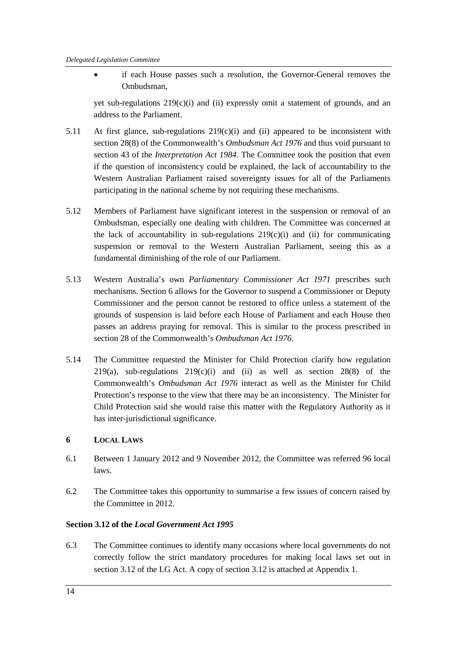• if each House passes such a resolution, the Governor-General removes the Ombudsman,

yet sub-regulations 219(c)(i) and (ii) expressly omit a statement of grounds, and an address to the Parliament.

- 5.11 At first glance, sub-regulations  $219(c)(i)$  and (ii) appeared to be inconsistent with section 28(8) of the Commonwealth's *Ombudsman Act 1976* and thus void pursuant to section 43 of the *Interpretation Act 1984*. The Committee took the position that even if the question of inconsistency could be explained, the lack of accountability to the Western Australian Parliament raised sovereignty issues for all of the Parliaments participating in the national scheme by not requiring these mechanisms.
- 5.12 Members of Parliament have significant interest in the suspension or removal of an Ombudsman, especially one dealing with children. The Committee was concerned at the lack of accountability in sub-regulations  $219(c)(i)$  and (ii) for communicating suspension or removal to the Western Australian Parliament, seeing this as a fundamental diminishing of the role of our Parliament.
- 5.13 Western Australia's own *Parliamentary Commissioner Act 1971* prescribes such mechanisms. Section 6 allows for the Governor to suspend a Commissioner or Deputy Commissioner and the person cannot be restored to office unless a statement of the grounds of suspension is laid before each House of Parliament and each House then passes an address praying for removal. This is similar to the process prescribed in section 28 of the Commonwealth's *Ombudsman Act 1976*.
- 5.14 The Committee requested the Minister for Child Protection clarify how regulation 219(a), sub-regulations  $219(c)(i)$  and (ii) as well as section  $28(8)$  of the Commonwealth's *Ombudsman Act 1976* interact as well as the Minister for Child Protection's response to the view that there may be an inconsistency. The Minister for Child Protection said she would raise this matter with the Regulatory Authority as it has inter-jurisdictional significance.

# **6 LOCAL LAWS**

- 6.1 Between 1 January 2012 and 9 November 2012, the Committee was referred 96 local laws.
- 6.2 The Committee takes this opportunity to summarise a few issues of concern raised by the Committee in 2012.

## **Section 3.12 of the** *Local Government Act 1995*

6.3 The Committee continues to identify many occasions where local governments do not correctly follow the strict mandatory procedures for making local laws set out in section 3.12 of the LG Act. A copy of section 3.12 is attached at Appendix 1.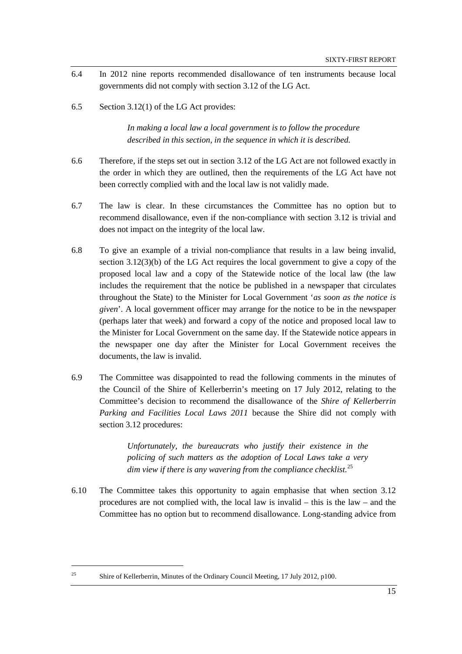- 6.4 In 2012 nine reports recommended disallowance of ten instruments because local governments did not comply with section 3.12 of the LG Act.
- 6.5 Section 3.12(1) of the LG Act provides:

*In making a local law a local government is to follow the procedure described in this section, in the sequence in which it is described.*

- 6.6 Therefore, if the steps set out in section 3.12 of the LG Act are not followed exactly in the order in which they are outlined, then the requirements of the LG Act have not been correctly complied with and the local law is not validly made.
- 6.7 The law is clear. In these circumstances the Committee has no option but to recommend disallowance, even if the non-compliance with section 3.12 is trivial and does not impact on the integrity of the local law.
- 6.8 To give an example of a trivial non-compliance that results in a law being invalid, section  $3.12(3)(b)$  of the LG Act requires the local government to give a copy of the proposed local law and a copy of the Statewide notice of the local law (the law includes the requirement that the notice be published in a newspaper that circulates throughout the State) to the Minister for Local Government '*as soon as the notice is given*'. A local government officer may arrange for the notice to be in the newspaper (perhaps later that week) and forward a copy of the notice and proposed local law to the Minister for Local Government on the same day. If the Statewide notice appears in the newspaper one day after the Minister for Local Government receives the documents, the law is invalid.
- 6.9 The Committee was disappointed to read the following comments in the minutes of the Council of the Shire of Kellerberrin's meeting on 17 July 2012, relating to the Committee's decision to recommend the disallowance of the *Shire of Kellerberrin Parking and Facilities Local Laws 2011* because the Shire did not comply with section 3.12 procedures:

*Unfortunately, the bureaucrats who justify their existence in the policing of such matters as the adoption of Local Laws take a very dim view if there is any wavering from the compliance checklist.*[25](#page-22-0)

6.10 The Committee takes this opportunity to again emphasise that when section 3.12 procedures are not complied with, the local law is invalid – this is the law – and the Committee has no option but to recommend disallowance. Long-standing advice from

<span id="page-22-0"></span><sup>&</sup>lt;sup>25</sup> Shire of Kellerberrin, Minutes of the Ordinary Council Meeting, 17 July 2012, p100.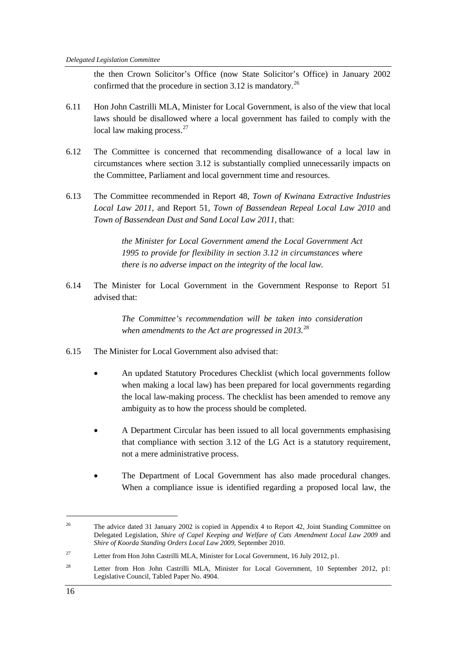the then Crown Solicitor's Office (now State Solicitor's Office) in January 2002 confirmed that the procedure in section 3.12 is mandatory.<sup>[26](#page-23-0)</sup>

- 6.11 Hon John Castrilli MLA, Minister for Local Government, is also of the view that local laws should be disallowed where a local government has failed to comply with the local law making process.<sup>[27](#page-23-1)</sup>
- 6.12 The Committee is concerned that recommending disallowance of a local law in circumstances where section 3.12 is substantially complied unnecessarily impacts on the Committee, Parliament and local government time and resources.
- 6.13 The Committee recommended in Report 48, *Town of Kwinana Extractive Industries Local Law 2011*, and Report 51, *Town of Bassendean Repeal Local Law 2010* and *Town of Bassendean Dust and Sand Local Law 2011*, that:

*the Minister for Local Government amend the Local Government Act 1995 to provide for flexibility in section 3.12 in circumstances where there is no adverse impact on the integrity of the local law.*

6.14 The Minister for Local Government in the Government Response to Report 51 advised that:

> *The Committee's recommendation will be taken into consideration when amendments to the Act are progressed in 2013.* [28](#page-23-2)

- 6.15 The Minister for Local Government also advised that:
	- An updated Statutory Procedures Checklist (which local governments follow when making a local law) has been prepared for local governments regarding the local law-making process. The checklist has been amended to remove any ambiguity as to how the process should be completed.
	- A Department Circular has been issued to all local governments emphasising that compliance with section 3.12 of the LG Act is a statutory requirement, not a mere administrative process.
	- The Department of Local Government has also made procedural changes. When a compliance issue is identified regarding a proposed local law, the

<span id="page-23-0"></span><sup>&</sup>lt;sup>26</sup> The advice dated 31 January 2002 is copied in Appendix 4 to Report 42, Joint Standing Committee on Delegated Legislation, *Shire of Capel Keeping and Welfare of Cats Amendment Local Law 2009* and *Shire of Koorda Standing Orders Local Law 2009*, September 2010.

<span id="page-23-1"></span><sup>&</sup>lt;sup>27</sup> Letter from Hon John Castrilli MLA, Minister for Local Government, 16 July 2012, p1.

<span id="page-23-2"></span><sup>&</sup>lt;sup>28</sup> Letter from Hon John Castrilli MLA, Minister for Local Government, 10 September 2012, p1: Legislative Council, Tabled Paper No. 4904.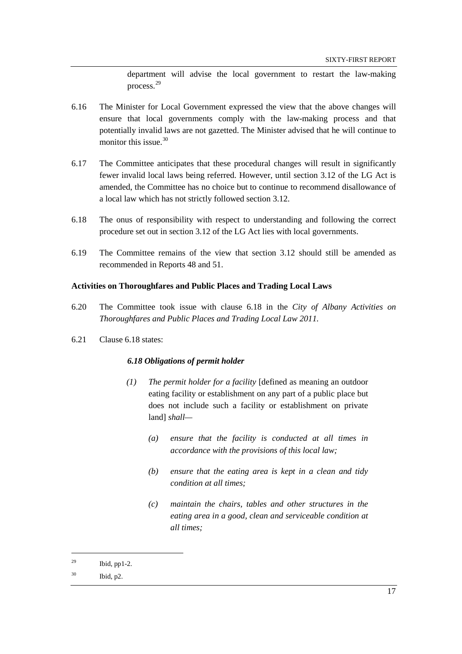department will advise the local government to restart the law-making process.[29](#page-24-0)

- 6.16 The Minister for Local Government expressed the view that the above changes will ensure that local governments comply with the law-making process and that potentially invalid laws are not gazetted. The Minister advised that he will continue to monitor this issue.  $30$
- 6.17 The Committee anticipates that these procedural changes will result in significantly fewer invalid local laws being referred. However, until section 3.12 of the LG Act is amended, the Committee has no choice but to continue to recommend disallowance of a local law which has not strictly followed section 3.12.
- 6.18 The onus of responsibility with respect to understanding and following the correct procedure set out in section 3.12 of the LG Act lies with local governments.
- 6.19 The Committee remains of the view that section 3.12 should still be amended as recommended in Reports 48 and 51.

#### **Activities on Thoroughfares and Public Places and Trading Local Laws**

- 6.20 The Committee took issue with clause 6.18 in the *City of Albany Activities on Thoroughfares and Public Places and Trading Local Law 2011.*
- 6.21 Clause 6.18 states:

#### *6.18 Obligations of permit holder*

- *(1) The permit holder for a facility* [defined as meaning an outdoor eating facility or establishment on any part of a public place but does not include such a facility or establishment on private land] *shall—*
	- *(a) ensure that the facility is conducted at all times in accordance with the provisions of this local law;*
	- *(b) ensure that the eating area is kept in a clean and tidy condition at all times;*
	- *(c) maintain the chairs, tables and other structures in the eating area in a good, clean and serviceable condition at all times;*

<span id="page-24-0"></span> $^{29}$  Ibid, pp1-2.

<span id="page-24-1"></span><sup>30</sup> Ibid, p2.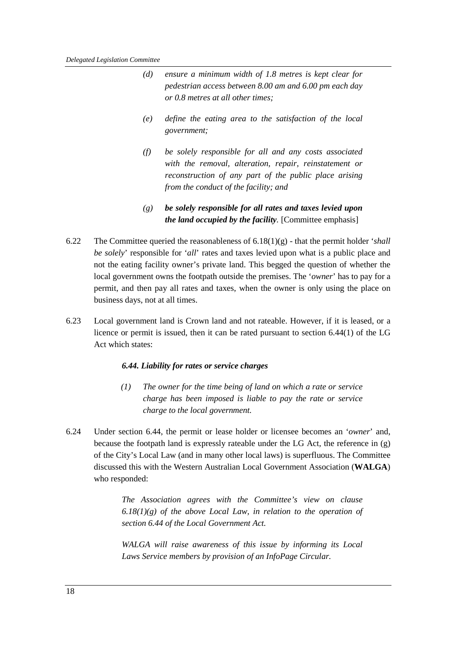- *(d) ensure a minimum width of 1.8 metres is kept clear for pedestrian access between 8.00 am and 6.00 pm each day or 0.8 metres at all other times;*
- *(e) define the eating area to the satisfaction of the local government;*
- *(f) be solely responsible for all and any costs associated with the removal, alteration, repair, reinstatement or reconstruction of any part of the public place arising from the conduct of the facility; and*
- *(g) be solely responsible for all rates and taxes levied upon the land occupied by the facility.* [Committee emphasis]
- 6.22 The Committee queried the reasonableness of 6.18(1)(g) that the permit holder '*shall be solely*' responsible for '*all*' rates and taxes levied upon what is a public place and not the eating facility owner's private land. This begged the question of whether the local government owns the footpath outside the premises. The '*owner*' has to pay for a permit, and then pay all rates and taxes, when the owner is only using the place on business days, not at all times.
- 6.23 Local government land is Crown land and not rateable. However, if it is leased, or a licence or permit is issued, then it can be rated pursuant to section 6.44(1) of the LG Act which states:

#### *6.44. Liability for rates or service charges*

- *(1) The owner for the time being of land on which a rate or service charge has been imposed is liable to pay the rate or service charge to the local government.*
- 6.24 Under section 6.44, the permit or lease holder or licensee becomes an '*owner*' and, because the footpath land is expressly rateable under the LG Act*,* the reference in (g) of the City's Local Law (and in many other local laws) is superfluous. The Committee discussed this with the Western Australian Local Government Association (**WALGA**) who responded:

*The Association agrees with the Committee's view on clause 6.18(1)(g) of the above Local Law, in relation to the operation of section 6.44 of the Local Government Act.*

*WALGA will raise awareness of this issue by informing its Local Laws Service members by provision of an InfoPage Circular.*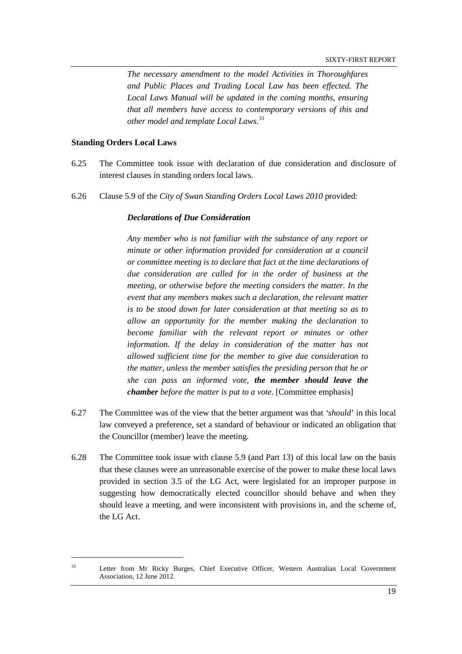*The necessary amendment to the model Activities in Thoroughfares and Public Places and Trading Local Law has been effected. The Local Laws Manual will be updated in the coming months, ensuring that all members have access to contemporary versions of this and other model and template Local Laws*. [31](#page-26-0)

#### **Standing Orders Local Laws**

- 6.25 The Committee took issue with declaration of due consideration and disclosure of interest clauses in standing orders local laws.
- 6.26 Clause 5.9 of the *City of Swan Standing Orders Local Laws 2010* provided:

#### *Declarations of Due Consideration*

*Any member who is not familiar with the substance of any report or minute or other information provided for consideration at a council or committee meeting is to declare that fact at the time declarations of due consideration are called for in the order of business at the meeting, or otherwise before the meeting considers the matter. In the event that any members makes such a declaration, the relevant matter is to be stood down for later consideration at that meeting so as to allow an opportunity for the member making the declaration to become familiar with the relevant report or minutes or other information. If the delay in consideration of the matter has not allowed sufficient time for the member to give due consideration to the matter, unless the member satisfies the presiding person that he or she can pass an informed vote, the member should leave the chamber before the matter is put to a vote*. [Committee emphasis]

- 6.27 The Committee was of the view that the better argument was that *'should*' in this local law conveyed a preference, set a standard of behaviour or indicated an obligation that the Councillor (member) leave the meeting.
- 6.28 The Committee took issue with clause 5.9 (and Part 13) of this local law on the basis that these clauses were an unreasonable exercise of the power to make these local laws provided in section 3.5 of the LG Act, were legislated for an improper purpose in suggesting how democratically elected councillor should behave and when they should leave a meeting, and were inconsistent with provisions in, and the scheme of, the LG Act.

<span id="page-26-0"></span><sup>&</sup>lt;sup>31</sup> Letter from Mr Ricky Burges, Chief Executive Officer, Western Australian Local Government Association, 12 June 2012.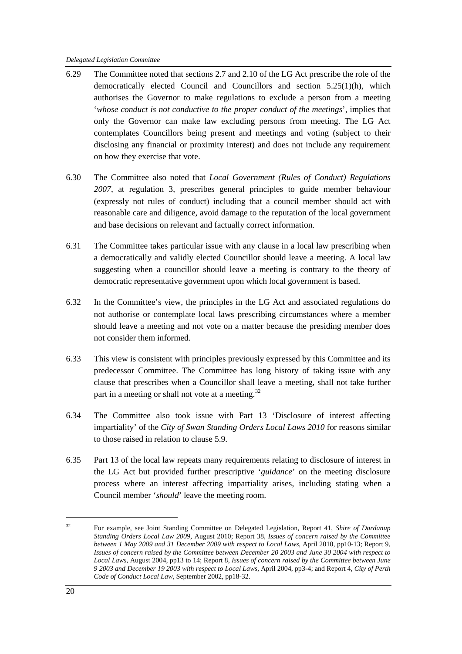- 6.29 The Committee noted that sections 2.7 and 2.10 of the LG Act prescribe the role of the democratically elected Council and Councillors and section 5.25(1)(h), which authorises the Governor to make regulations to exclude a person from a meeting '*whose conduct is not conductive to the proper conduct of the meetings*', implies that only the Governor can make law excluding persons from meeting. The LG Act contemplates Councillors being present and meetings and voting (subject to their disclosing any financial or proximity interest) and does not include any requirement on how they exercise that vote.
- 6.30 The Committee also noted that *Local Government (Rules of Conduct) Regulations 2007*, at regulation 3, prescribes general principles to guide member behaviour (expressly not rules of conduct) including that a council member should act with reasonable care and diligence, avoid damage to the reputation of the local government and base decisions on relevant and factually correct information.
- 6.31 The Committee takes particular issue with any clause in a local law prescribing when a democratically and validly elected Councillor should leave a meeting. A local law suggesting when a councillor should leave a meeting is contrary to the theory of democratic representative government upon which local government is based.
- 6.32 In the Committee's view, the principles in the LG Act and associated regulations do not authorise or contemplate local laws prescribing circumstances where a member should leave a meeting and not vote on a matter because the presiding member does not consider them informed.
- 6.33 This view is consistent with principles previously expressed by this Committee and its predecessor Committee. The Committee has long history of taking issue with any clause that prescribes when a Councillor shall leave a meeting, shall not take further part in a meeting or shall not vote at a meeting.<sup>[32](#page-27-0)</sup>
- 6.34 The Committee also took issue with Part 13 'Disclosure of interest affecting impartiality' of the *City of Swan Standing Orders Local Laws 2010* for reasons similar to those raised in relation to clause 5.9.
- 6.35 Part 13 of the local law repeats many requirements relating to disclosure of interest in the LG Act but provided further prescriptive '*guidance*' on the meeting disclosure process where an interest affecting impartiality arises, including stating when a Council member '*should*' leave the meeting room.

<span id="page-27-0"></span> <sup>32</sup> For example, see Joint Standing Committee on Delegated Legislation, Report 41, *Shire of Dardanup Standing Orders Local Law 2009*, August 2010; Report 38, *Issues of concern raised by the Committee between 1 May 2009 and 31 December 2009 with respect to Local Laws*, April 2010, pp10-13; Report 9, *Issues of concern raised by the Committee between December 20 2003 and June 30 2004 with respect to Local Laws*, August 2004, pp13 to 14; Report 8, *Issues of concern raised by the Committee between June 9 2003 and December 19 2003 with respect to Local Laws*, April 2004, pp3-4; and Report 4, *City of Perth Code of Conduct Local Law*, September 2002, pp18-32.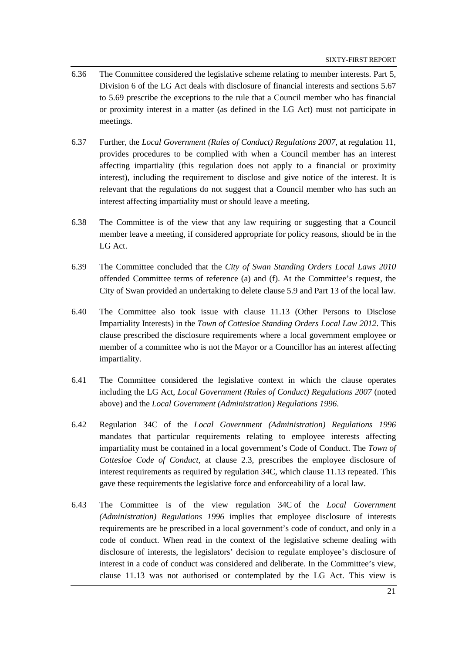- 6.36 The Committee considered the legislative scheme relating to member interests. Part 5, Division 6 of the LG Act deals with disclosure of financial interests and sections 5.67 to 5.69 prescribe the exceptions to the rule that a Council member who has financial or proximity interest in a matter (as defined in the LG Act) must not participate in meetings.
- 6.37 Further, the *Local Government (Rules of Conduct) Regulations 2007,* at regulation 11, provides procedures to be complied with when a Council member has an interest affecting impartiality (this regulation does not apply to a financial or proximity interest), including the requirement to disclose and give notice of the interest. It is relevant that the regulations do not suggest that a Council member who has such an interest affecting impartiality must or should leave a meeting.
- 6.38 The Committee is of the view that any law requiring or suggesting that a Council member leave a meeting, if considered appropriate for policy reasons, should be in the LG Act.
- 6.39 The Committee concluded that the *City of Swan Standing Orders Local Laws 2010* offended Committee terms of reference (a) and (f). At the Committee's request, the City of Swan provided an undertaking to delete clause 5.9 and Part 13 of the local law.
- 6.40 The Committee also took issue with clause 11.13 (Other Persons to Disclose Impartiality Interests) in the *Town of Cottesloe Standing Orders Local Law 2012*. This clause prescribed the disclosure requirements where a local government employee or member of a committee who is not the Mayor or a Councillor has an interest affecting impartiality.
- 6.41 The Committee considered the legislative context in which the clause operates including the LG Act, *Local Government (Rules of Conduct) Regulations 2007* (noted above) and the *Local Government (Administration) Regulations 1996*.
- 6.42 Regulation 34C of the *Local Government (Administration) Regulations 1996* mandates that particular requirements relating to employee interests affecting impartiality must be contained in a local government's Code of Conduct. The *Town of Cottesloe Code of Conduct*, at clause 2.3, prescribes the employee disclosure of interest requirements as required by regulation 34C, which clause 11.13 repeated. This gave these requirements the legislative force and enforceability of a local law.
- 6.43 The Committee is of the view regulation 34C of the *Local Government (Administration) Regulations 1996* implies that employee disclosure of interests requirements are be prescribed in a local government's code of conduct, and only in a code of conduct. When read in the context of the legislative scheme dealing with disclosure of interests, the legislators' decision to regulate employee's disclosure of interest in a code of conduct was considered and deliberate. In the Committee's view, clause 11.13 was not authorised or contemplated by the LG Act. This view is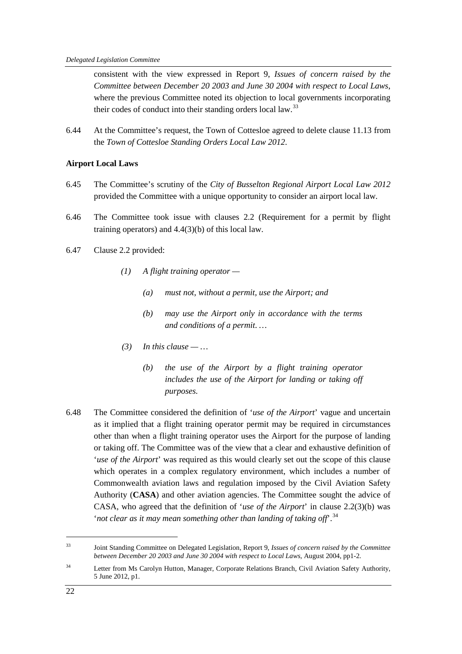consistent with the view expressed in Report 9, *Issues of concern raised by the Committee between December 20 2003 and June 30 2004 with respect to Local Laws*, where the previous Committee noted its objection to local governments incorporating their codes of conduct into their standing orders local law.<sup>[33](#page-29-0)</sup>

6.44 At the Committee's request, the Town of Cottesloe agreed to delete clause 11.13 from the *Town of Cottesloe Standing Orders Local Law 2012*.

#### **Airport Local Laws**

- 6.45 The Committee's scrutiny of the *City of Busselton Regional Airport Local Law 2012* provided the Committee with a unique opportunity to consider an airport local law.
- 6.46 The Committee took issue with clauses 2.2 (Requirement for a permit by flight training operators) and 4.4(3)(b) of this local law.
- 6.47 Clause 2.2 provided:
	- *(1) A flight training operator —*
		- *(a) must not, without a permit, use the Airport; and*
		- *(b) may use the Airport only in accordance with the terms and conditions of a permit. …*
	- $(3)$  *In this clause ...* 
		- *(b) the use of the Airport by a flight training operator includes the use of the Airport for landing or taking off purposes.*
- 6.48 The Committee considered the definition of '*use of the Airport*' vague and uncertain as it implied that a flight training operator permit may be required in circumstances other than when a flight training operator uses the Airport for the purpose of landing or taking off. The Committee was of the view that a clear and exhaustive definition of '*use of the Airport*' was required as this would clearly set out the scope of this clause which operates in a complex regulatory environment, which includes a number of Commonwealth aviation laws and regulation imposed by the Civil Aviation Safety Authority (**CASA**) and other aviation agencies. The Committee sought the advice of CASA, who agreed that the definition of '*use of the Airport*' in clause 2.2(3)(b) was '*not clear as it may mean something other than landing of taking off*'.[34](#page-29-1)

<span id="page-29-0"></span> <sup>33</sup> Joint Standing Committee on Delegated Legislation, Report 9, *Issues of concern raised by the Committee between December 20 2003 and June 30 2004 with respect to Local Laws*, August 2004, pp1-2.

<span id="page-29-1"></span><sup>&</sup>lt;sup>34</sup> Letter from Ms Carolyn Hutton, Manager, Corporate Relations Branch, Civil Aviation Safety Authority, 5 June 2012, p1.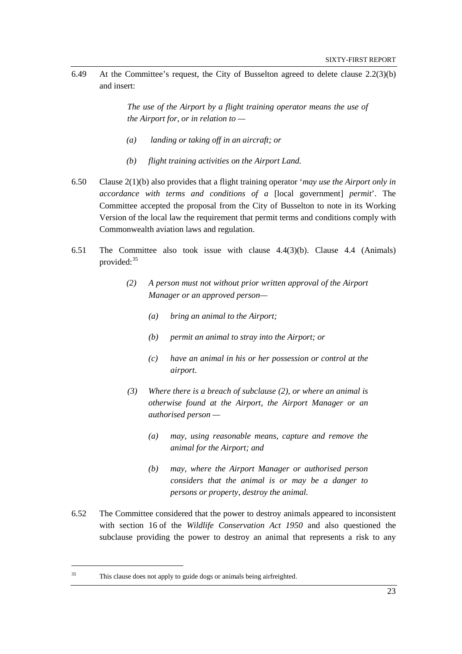6.49 At the Committee's request, the City of Busselton agreed to delete clause 2.2(3)(b) and insert:

> *The use of the Airport by a flight training operator means the use of the Airport for, or in relation to —*

- *(a) landing or taking off in an aircraft; or*
- *(b) flight training activities on the Airport Land.*
- 6.50 Clause 2(1)(b) also provides that a flight training operator '*may use the Airport only in accordance with terms and conditions of a* [local government] *permit*'. The Committee accepted the proposal from the City of Busselton to note in its Working Version of the local law the requirement that permit terms and conditions comply with Commonwealth aviation laws and regulation.
- 6.51 The Committee also took issue with clause 4.4(3)(b). Clause 4.4 (Animals) provided:<sup>[35](#page-30-0)</sup>
	- *(2) A person must not without prior written approval of the Airport Manager or an approved person—*
		- *(a) bring an animal to the Airport;*
		- *(b) permit an animal to stray into the Airport; or*
		- *(c) have an animal in his or her possession or control at the airport.*
	- *(3) Where there is a breach of subclause (2), or where an animal is otherwise found at the Airport, the Airport Manager or an authorised person —*
		- *(a) may, using reasonable means, capture and remove the animal for the Airport; and*
		- *(b) may, where the Airport Manager or authorised person considers that the animal is or may be a danger to persons or property, destroy the animal.*
- 6.52 The Committee considered that the power to destroy animals appeared to inconsistent with section 16 of the *Wildlife Conservation Act 1950* and also questioned the subclause providing the power to destroy an animal that represents a risk to any

<span id="page-30-0"></span> <sup>35</sup> This clause does not apply to guide dogs or animals being airfreighted.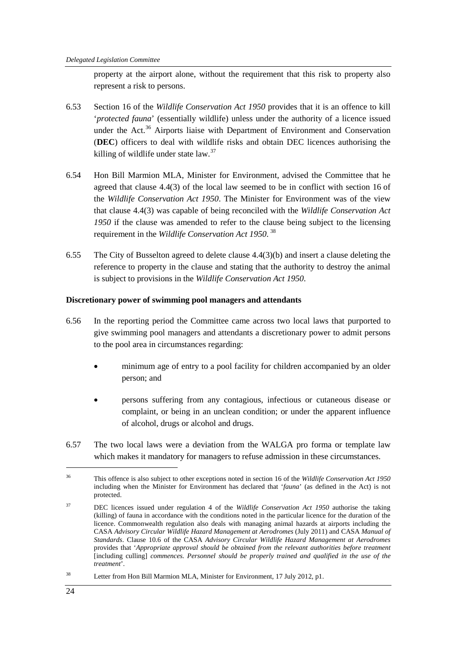property at the airport alone, without the requirement that this risk to property also represent a risk to persons.

- 6.53 Section 16 of the *Wildlife Conservation Act 1950* provides that it is an offence to kill '*protected fauna*' (essentially wildlife) unless under the authority of a licence issued under the Act.<sup>[36](#page-31-0)</sup> Airports liaise with Department of Environment and Conservation (**DEC**) officers to deal with wildlife risks and obtain DEC licences authorising the killing of wildlife under state  $law.^{37}$  $law.^{37}$  $law.^{37}$
- 6.54 Hon Bill Marmion MLA, Minister for Environment, advised the Committee that he agreed that clause 4.4(3) of the local law seemed to be in conflict with section 16 of the *Wildlife Conservation Act 1950*. The Minister for Environment was of the view that clause 4.4(3) was capable of being reconciled with the *Wildlife Conservation Act 1950* if the clause was amended to refer to the clause being subject to the licensing requirement in the *Wildlife Conservation Act 1950*. [38](#page-31-2)
- 6.55 The City of Busselton agreed to delete clause 4.4(3)(b) and insert a clause deleting the reference to property in the clause and stating that the authority to destroy the animal is subject to provisions in the *Wildlife Conservation Act 1950*.

# **Discretionary power of swimming pool managers and attendants**

- 6.56 In the reporting period the Committee came across two local laws that purported to give swimming pool managers and attendants a discretionary power to admit persons to the pool area in circumstances regarding:
	- minimum age of entry to a pool facility for children accompanied by an older person; and
	- persons suffering from any contagious, infectious or cutaneous disease or complaint, or being in an unclean condition; or under the apparent influence of alcohol, drugs or alcohol and drugs.
- 6.57 The two local laws were a deviation from the WALGA pro forma or template law which makes it mandatory for managers to refuse admission in these circumstances.

<span id="page-31-0"></span> <sup>36</sup> This offence is also subject to other exceptions noted in section 16 of the *Wildlife Conservation Act 1950* including when the Minister for Environment has declared that '*fauna*' (as defined in the Act) is not protected.

<span id="page-31-1"></span><sup>37</sup> DEC licences issued under regulation 4 of the *Wildlife Conservation Act 1950* authorise the taking (killing) of fauna in accordance with the conditions noted in the particular licence for the duration of the licence. Commonwealth regulation also deals with managing animal hazards at airports including the CASA *Advisory Circular Wildlife Hazard Management at Aerodromes* (July 2011) and CASA *Manual of Standards*. Clause 10.6 of the CASA *Advisory Circular Wildlife Hazard Management at Aerodromes* provides that '*Appropriate approval should be obtained from the relevant authorities before treatment*  [including culling] *commences. Personnel should be properly trained and qualified in the use of the treatment*'.

<span id="page-31-2"></span><sup>&</sup>lt;sup>38</sup> Letter from Hon Bill Marmion MLA, Minister for Environment, 17 July 2012, p1.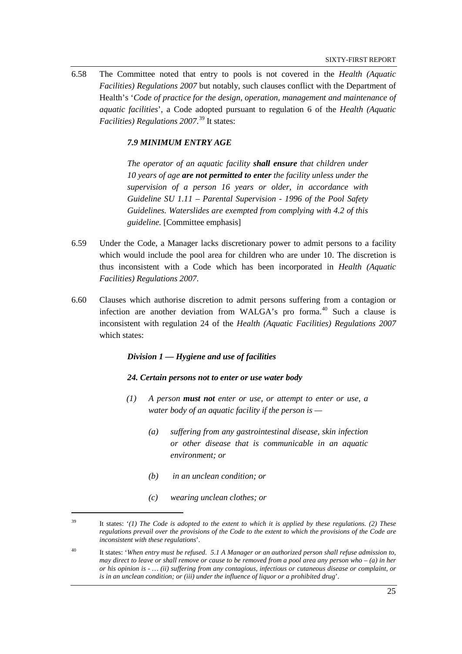6.58 The Committee noted that entry to pools is not covered in the *Health (Aquatic Facilities) Regulations 2007* but notably, such clauses conflict with the Department of Health's '*Code of practice for the design, operation, management and maintenance of aquatic facilities*', a Code adopted pursuant to regulation 6 of the *Health (Aquatic Facilities) Regulations 2007*. [39](#page-32-0) It states:

#### *7.9 MINIMUM ENTRY AGE*

*The operator of an aquatic facility shall ensure that children under 10 years of age are not permitted to enter the facility unless under the supervision of a person 16 years or older, in accordance with Guideline SU 1.11 – Parental Supervision - 1996 of the Pool Safety Guidelines. Waterslides are exempted from complying with 4.2 of this guideline.* [Committee emphasis]

- 6.59 Under the Code, a Manager lacks discretionary power to admit persons to a facility which would include the pool area for children who are under 10. The discretion is thus inconsistent with a Code which has been incorporated in *Health (Aquatic Facilities) Regulations 2007*.
- 6.60 Clauses which authorise discretion to admit persons suffering from a contagion or infection are another deviation from WALGA's pro forma. [40](#page-32-1) Such a clause is inconsistent with regulation 24 of the *Health (Aquatic Facilities) Regulations 2007* which states:

#### *Division 1 — Hygiene and use of facilities*

#### *24. Certain persons not to enter or use water body*

- *(1) A person must not enter or use, or attempt to enter or use, a water body of an aquatic facility if the person is —*
	- *(a) suffering from any gastrointestinal disease, skin infection or other disease that is communicable in an aquatic environment; or*
	- *(b) in an unclean condition; or*
	- *(c) wearing unclean clothes; or*

<span id="page-32-0"></span> <sup>39</sup> It states: '*(1) The Code is adopted to the extent to which it is applied by these regulations. (2) These regulations prevail over the provisions of the Code to the extent to which the provisions of the Code are inconsistent with these regulations*'*.*

<span id="page-32-1"></span><sup>40</sup> It states: '*When entry must be refused. 5.1 A Manager or an authorized person shall refuse admission to, may direct to leave or shall remove or cause to be removed from a pool area any person who – (a) in her or his opinion is - … (ii) suffering from any contagious, infectious or cutaneous disease or complaint, or is in an unclean condition; or (iii) under the influence of liquor or a prohibited drug*'.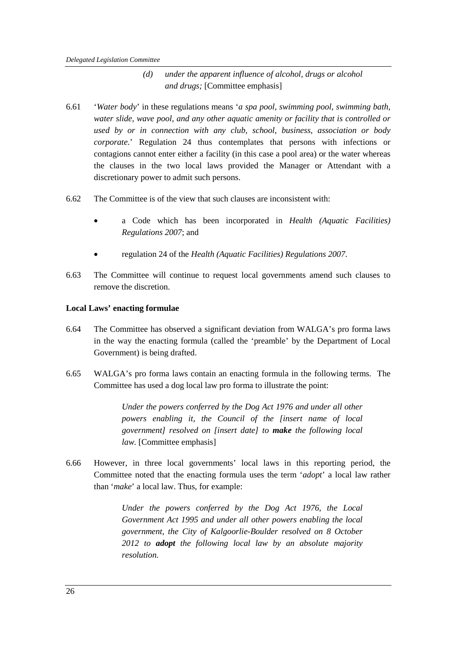# *(d) under the apparent influence of alcohol, drugs or alcohol and drugs;* [Committee emphasis]

- 6.61 '*Water body*' in these regulations means '*a spa pool, swimming pool, swimming bath, water slide, wave pool, and any other aquatic amenity or facility that is controlled or used by or in connection with any club, school, business, association or body corporate*.' Regulation 24 thus contemplates that persons with infections or contagions cannot enter either a facility (in this case a pool area) or the water whereas the clauses in the two local laws provided the Manager or Attendant with a discretionary power to admit such persons.
- 6.62 The Committee is of the view that such clauses are inconsistent with:
	- a Code which has been incorporated in *Health (Aquatic Facilities) Regulations 2007*; and
	- regulation 24 of the *Health (Aquatic Facilities) Regulations 2007*.
- 6.63 The Committee will continue to request local governments amend such clauses to remove the discretion.

#### **Local Laws' enacting formulae**

- 6.64 The Committee has observed a significant deviation from WALGA's pro forma laws in the way the enacting formula (called the 'preamble' by the Department of Local Government) is being drafted.
- 6.65 WALGA's pro forma laws contain an enacting formula in the following terms. The Committee has used a dog local law pro forma to illustrate the point:

*Under the powers conferred by the Dog Act 1976 and under all other powers enabling it, the Council of the [insert name of local government] resolved on [insert date] to make the following local law.* [Committee emphasis]

6.66 However, in three local governments' local laws in this reporting period, the Committee noted that the enacting formula uses the term '*adopt*' a local law rather than '*make*' a local law. Thus, for example:

> *Under the powers conferred by the Dog Act 1976, the Local Government Act 1995 and under all other powers enabling the local government, the City of Kalgoorlie-Boulder resolved on 8 October 2012 to adopt the following local law by an absolute majority resolution.*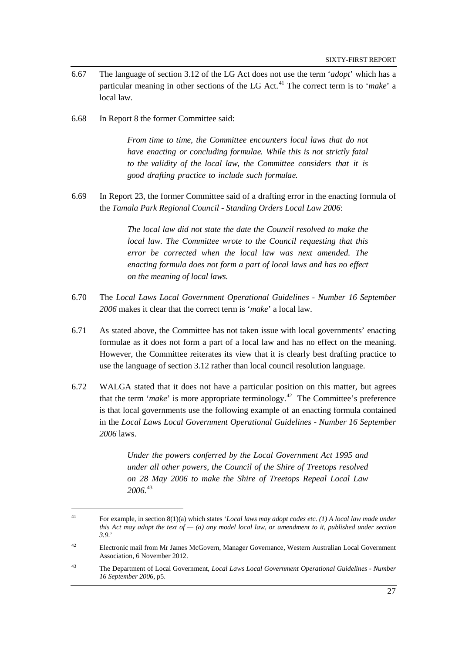- 6.67 The language of section 3.12 of the LG Act does not use the term '*adopt*' which has a particular meaning in other sections of the LG Act*.* [41](#page-34-0) The correct term is to '*make*' a local law.
- 6.68 In Report 8 the former Committee said:

*From time to time, the Committee encounters local laws that do not have enacting or concluding formulae. While this is not strictly fatal to the validity of the local law, the Committee considers that it is good drafting practice to include such formulae.*

6.69 In Report 23, the former Committee said of a drafting error in the enacting formula of the *Tamala Park Regional Council - Standing Orders Local Law 2006*:

> *The local law did not state the date the Council resolved to make the local law. The Committee wrote to the Council requesting that this error be corrected when the local law was next amended. The enacting formula does not form a part of local laws and has no effect on the meaning of local laws.*

- 6.70 The *Local Laws Local Government Operational Guidelines - Number 16 September 2006* makes it clear that the correct term is '*make*' a local law.
- 6.71 As stated above, the Committee has not taken issue with local governments' enacting formulae as it does not form a part of a local law and has no effect on the meaning. However, the Committee reiterates its view that it is clearly best drafting practice to use the language of section 3.12 rather than local council resolution language.
- 6.72 WALGA stated that it does not have a particular position on this matter, but agrees that the term '*make*' is more appropriate terminology.[42](#page-34-1) The Committee's preference is that local governments use the following example of an enacting formula contained in the *Local Laws Local Government Operational Guidelines - Number 16 September 2006* laws.

*Under the powers conferred by the Local Government Act 1995 and under all other powers, the Council of the Shire of Treetops resolved on 28 May 2006 to make the Shire of Treetops Repeal Local Law 2006.*[43](#page-34-2)

<span id="page-34-0"></span> <sup>41</sup> For example, in section 8(1)(a) which states '*Local laws may adopt codes etc. (1) A local law made under this Act may adopt the text of — (a) any model local law, or amendment to it, published under section 3.9*.'

<span id="page-34-1"></span><sup>42</sup> Electronic mail from Mr James McGovern, Manager Governance, Western Australian Local Government Association, 6 November 2012.

<span id="page-34-2"></span><sup>43</sup> The Department of Local Government, *Local Laws Local Government Operational Guidelines - Number 16 September 2006,* p5.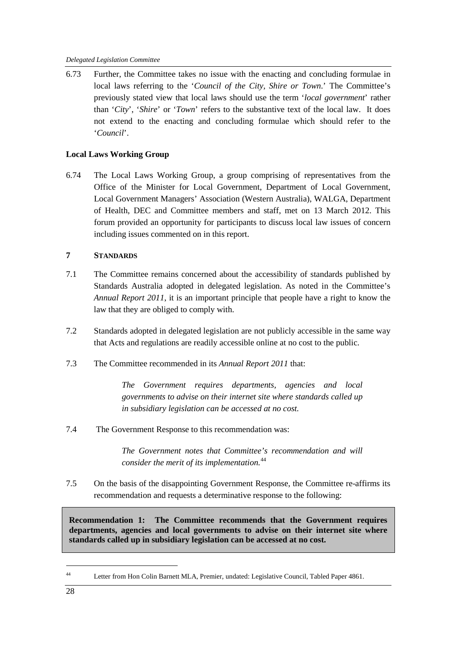6.73 Further, the Committee takes no issue with the enacting and concluding formulae in local laws referring to the '*Council of the City, Shire or Town*.' The Committee's previously stated view that local laws should use the term '*local government*' rather than '*City*', '*Shire*' or '*Town*' refers to the substantive text of the local law. It does not extend to the enacting and concluding formulae which should refer to the '*Council*'.

# **Local Laws Working Group**

6.74 The Local Laws Working Group, a group comprising of representatives from the Office of the Minister for Local Government, Department of Local Government, Local Government Managers' Association (Western Australia), WALGA, Department of Health, DEC and Committee members and staff, met on 13 March 2012. This forum provided an opportunity for participants to discuss local law issues of concern including issues commented on in this report.

# **7 STANDARDS**

- 7.1 The Committee remains concerned about the accessibility of standards published by Standards Australia adopted in delegated legislation. As noted in the Committee's *Annual Report 2011*, it is an important principle that people have a right to know the law that they are obliged to comply with.
- 7.2 Standards adopted in delegated legislation are not publicly accessible in the same way that Acts and regulations are readily accessible online at no cost to the public.
- 7.3 The Committee recommended in its *Annual Report 2011* that:

*The Government requires departments, agencies and local governments to advise on their internet site where standards called up in subsidiary legislation can be accessed at no cost.*

7.4 The Government Response to this recommendation was:

*The Government notes that Committee's recommendation and will consider the merit of its implementation.* [44](#page-35-1)

7.5 On the basis of the disappointing Government Response, the Committee re-affirms its recommendation and requests a determinative response to the following:

<span id="page-35-0"></span>**Recommendation 1: The Committee recommends that the Government requires departments, agencies and local governments to advise on their internet site where standards called up in subsidiary legislation can be accessed at no cost.**

<span id="page-35-1"></span> <sup>44</sup> Letter from Hon Colin Barnett MLA, Premier, undated: Legislative Council, Tabled Paper 4861.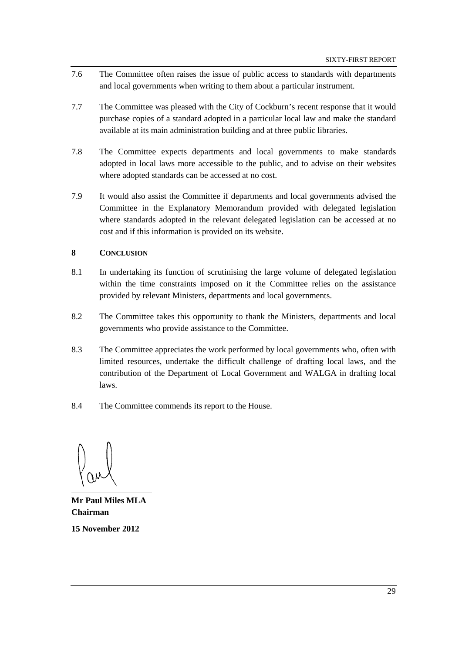- 7.6 The Committee often raises the issue of public access to standards with departments and local governments when writing to them about a particular instrument.
- 7.7 The Committee was pleased with the City of Cockburn's recent response that it would purchase copies of a standard adopted in a particular local law and make the standard available at its main administration building and at three public libraries.
- 7.8 The Committee expects departments and local governments to make standards adopted in local laws more accessible to the public, and to advise on their websites where adopted standards can be accessed at no cost.
- 7.9 It would also assist the Committee if departments and local governments advised the Committee in the Explanatory Memorandum provided with delegated legislation where standards adopted in the relevant delegated legislation can be accessed at no cost and if this information is provided on its website.

# **8 CONCLUSION**

- 8.1 In undertaking its function of scrutinising the large volume of delegated legislation within the time constraints imposed on it the Committee relies on the assistance provided by relevant Ministers, departments and local governments.
- 8.2 The Committee takes this opportunity to thank the Ministers, departments and local governments who provide assistance to the Committee.
- 8.3 The Committee appreciates the work performed by local governments who, often with limited resources, undertake the difficult challenge of drafting local laws, and the contribution of the Department of Local Government and WALGA in drafting local laws.
- 8.4 The Committee commends its report to the House.

**Mr Paul Miles MLA Chairman 15 November 2012**